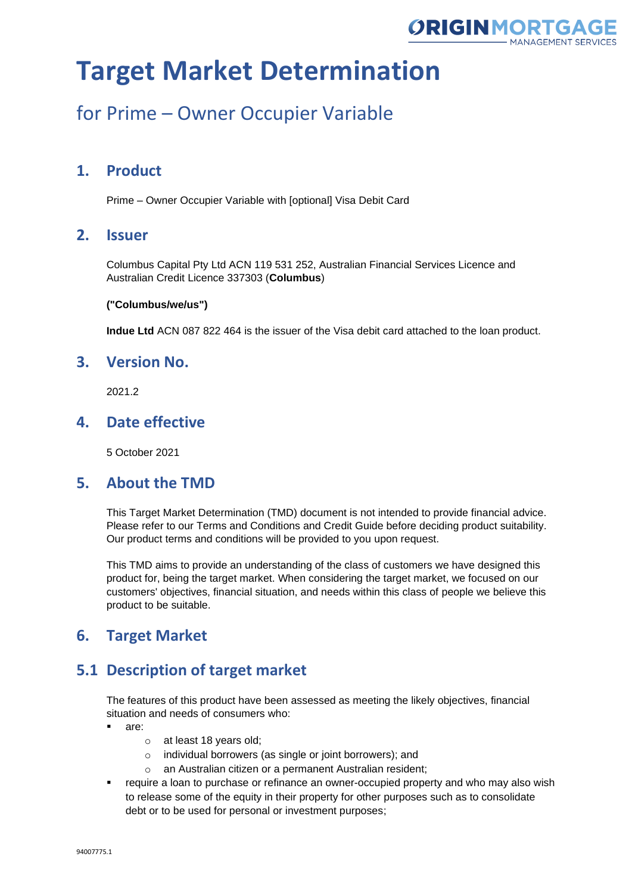

## for Prime – Owner Occupier Variable

## **1. Product**

Prime – Owner Occupier Variable with [optional] Visa Debit Card

### **2. Issuer**

Columbus Capital Pty Ltd ACN 119 531 252, Australian Financial Services Licence and Australian Credit Licence 337303 (**Columbus**)

#### **("Columbus/we/us")**

**Indue Ltd** ACN 087 822 464 is the issuer of the Visa debit card attached to the loan product.

### **3. Version No.**

2021.2

### **4. Date effective**

5 October 2021

#### **5. About the TMD**

This Target Market Determination (TMD) document is not intended to provide financial advice. Please refer to our Terms and Conditions and Credit Guide before deciding product suitability. Our product terms and conditions will be provided to you upon request.

This TMD aims to provide an understanding of the class of customers we have designed this product for, being the target market. When considering the target market, we focused on our customers' objectives, financial situation, and needs within this class of people we believe this product to be suitable.

## **6. Target Market**

## **5.1 Description of target market**

The features of this product have been assessed as meeting the likely objectives, financial situation and needs of consumers who:

- are:
	- o at least 18 years old;
	- o individual borrowers (as single or joint borrowers); and
	- o an Australian citizen or a permanent Australian resident;
- **•** require a loan to purchase or refinance an owner-occupied property and who may also wish to release some of the equity in their property for other purposes such as to consolidate debt or to be used for personal or investment purposes;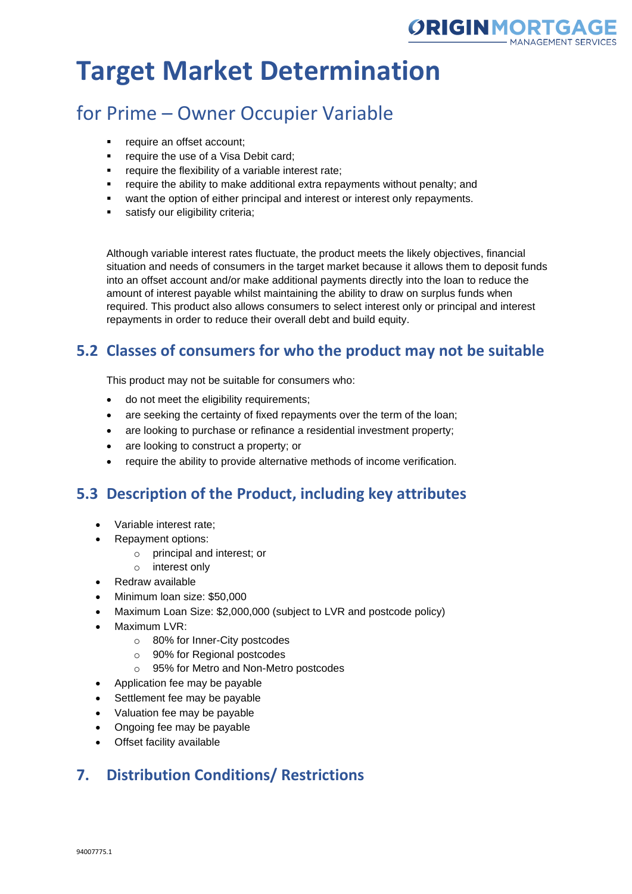

# for Prime – Owner Occupier Variable

- require an offset account;
- **•** require the use of a Visa Debit card;
- require the flexibility of a variable interest rate;
- require the ability to make additional extra repayments without penalty; and
- want the option of either principal and interest or interest only repayments.
- satisfy our eligibility criteria;

Although variable interest rates fluctuate, the product meets the likely objectives, financial situation and needs of consumers in the target market because it allows them to deposit funds into an offset account and/or make additional payments directly into the loan to reduce the amount of interest payable whilst maintaining the ability to draw on surplus funds when required. This product also allows consumers to select interest only or principal and interest repayments in order to reduce their overall debt and build equity.

## **5.2 Classes of consumers for who the product may not be suitable**

This product may not be suitable for consumers who:

- do not meet the eligibility requirements;
- are seeking the certainty of fixed repayments over the term of the loan;
- are looking to purchase or refinance a residential investment property;
- are looking to construct a property; or
- require the ability to provide alternative methods of income verification.

## **5.3 Description of the Product, including key attributes**

- Variable interest rate;
- Repayment options:
	- o principal and interest; or
	- o interest only
- Redraw available
- Minimum loan size: \$50,000
- Maximum Loan Size: \$2,000,000 (subject to LVR and postcode policy)
- Maximum LVR:
	- o 80% for Inner-City postcodes
	- o 90% for Regional postcodes
	- o 95% for Metro and Non-Metro postcodes
- Application fee may be payable
- Settlement fee may be payable
- Valuation fee may be payable
- Ongoing fee may be payable
- Offset facility available

## **7. Distribution Conditions/ Restrictions**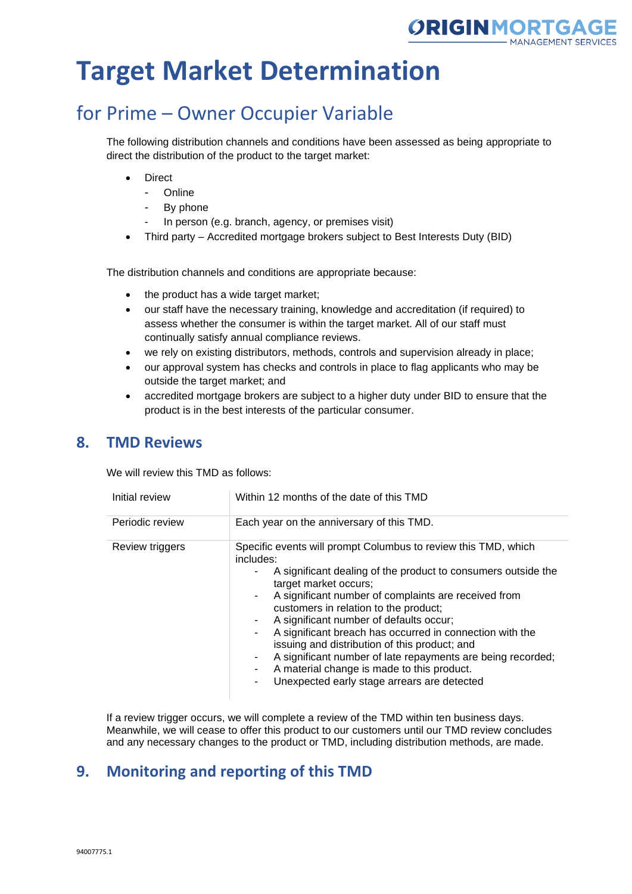

# for Prime – Owner Occupier Variable

The following distribution channels and conditions have been assessed as being appropriate to direct the distribution of the product to the target market:

- **Direct** 
	- Online
	- By phone
	- In person (e.g. branch, agency, or premises visit)
- Third party Accredited mortgage brokers subject to Best Interests Duty (BID)

The distribution channels and conditions are appropriate because:

- the product has a wide target market;
- our staff have the necessary training, knowledge and accreditation (if required) to assess whether the consumer is within the target market. All of our staff must continually satisfy annual compliance reviews.
- we rely on existing distributors, methods, controls and supervision already in place;
- our approval system has checks and controls in place to flag applicants who may be outside the target market; and
- accredited mortgage brokers are subject to a higher duty under BID to ensure that the product is in the best interests of the particular consumer.

#### **8. TMD Reviews**

We will review this TMD as follows:

| Initial review  | Within 12 months of the date of this TMD                                                                                                                                                                                                                                                                                                                                                                                                                                                                                                                                                                                  |
|-----------------|---------------------------------------------------------------------------------------------------------------------------------------------------------------------------------------------------------------------------------------------------------------------------------------------------------------------------------------------------------------------------------------------------------------------------------------------------------------------------------------------------------------------------------------------------------------------------------------------------------------------------|
| Periodic review | Each year on the anniversary of this TMD.                                                                                                                                                                                                                                                                                                                                                                                                                                                                                                                                                                                 |
| Review triggers | Specific events will prompt Columbus to review this TMD, which<br>includes:<br>A significant dealing of the product to consumers outside the<br>target market occurs;<br>A significant number of complaints are received from<br>$\sim$<br>customers in relation to the product;<br>A significant number of defaults occur;<br>$\sim$<br>A significant breach has occurred in connection with the<br>٠<br>issuing and distribution of this product; and<br>A significant number of late repayments are being recorded;<br>۰.<br>A material change is made to this product.<br>Unexpected early stage arrears are detected |

If a review trigger occurs, we will complete a review of the TMD within ten business days. Meanwhile, we will cease to offer this product to our customers until our TMD review concludes and any necessary changes to the product or TMD, including distribution methods, are made.

## **9. Monitoring and reporting of this TMD**